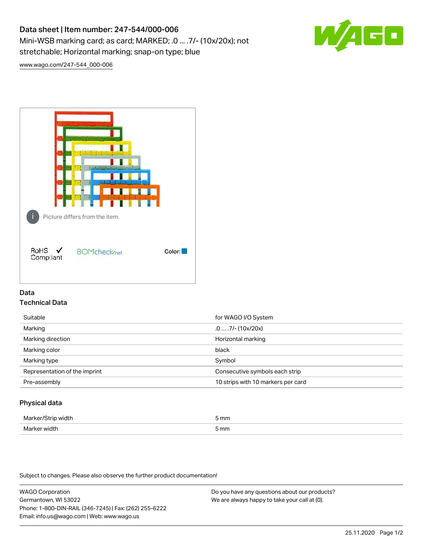# Data sheet | Item number: 247-544/000-006 Mini-WSB marking card; as card; MARKED; .0 ... .7/- (10x/20x); not stretchable; Horizontal marking; snap-on type; blue



[www.wago.com/247-544\\_000-006](http://www.wago.com/247-544_000-006)



# Data Technical Data

| Suitable                      | for WAGO I/O System                |
|-------------------------------|------------------------------------|
| Marking                       | $.0 \ldots .7$ /- (10x/20x)        |
| Marking direction             | Horizontal marking                 |
| Marking color                 | black                              |
| Marking type                  | Symbol                             |
| Representation of the imprint | Consecutive symbols each strip     |
| Pre-assembly                  | 10 strips with 10 markers per card |
|                               |                                    |

# Physical data

| Marker/<br>Strip width | 5 mm |
|------------------------|------|
| Marker width           | i mm |

Subject to changes. Please also observe the further product documentation!

WAGO Corporation Germantown, WI 53022 Phone: 1-800-DIN-RAIL (346-7245) | Fax: (262) 255-6222 Email: info.us@wago.com | Web: www.wago.us Do you have any questions about our products? We are always happy to take your call at {0}.